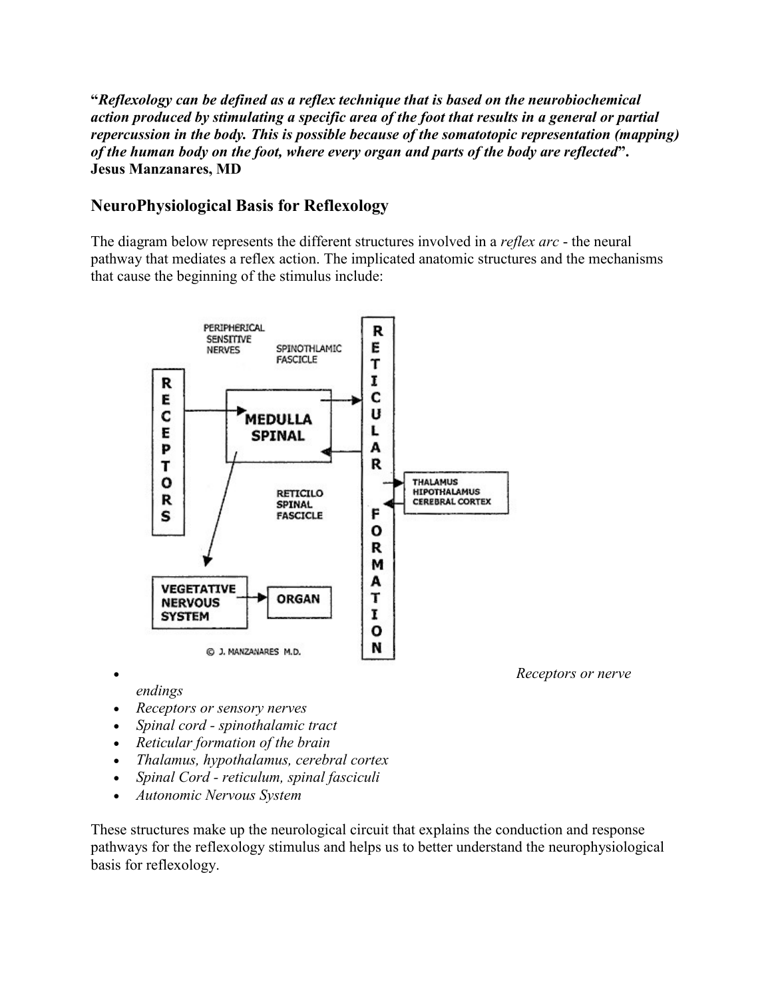**"***Reflexology can be defined as a reflex technique that is based on the neurobiochemical action produced by stimulating a specific area of the foot that results in a general or partial repercussion in the body. This is possible because of the somatotopic representation (mapping) of the human body on the foot, where every organ and parts of the body are reflected***". Jesus Manzanares, MD**

## **NeuroPhysiological Basis for Reflexology**

The diagram below represents the different structures involved in a *reflex arc* - the neural pathway that mediates a reflex action. The implicated anatomic structures and the mechanisms that cause the beginning of the stimulus include:



*endings*

- *Receptors or sensory nerves*
- *Spinal cord - spinothalamic tract*
- *Reticular formation of the brain*
- *Thalamus, hypothalamus, cerebral cortex*
- *Spinal Cord - reticulum, spinal fasciculi*
- *Autonomic Nervous System*

These structures make up the neurological circuit that explains the conduction and response pathways for the reflexology stimulus and helps us to better understand the neurophysiological basis for reflexology.